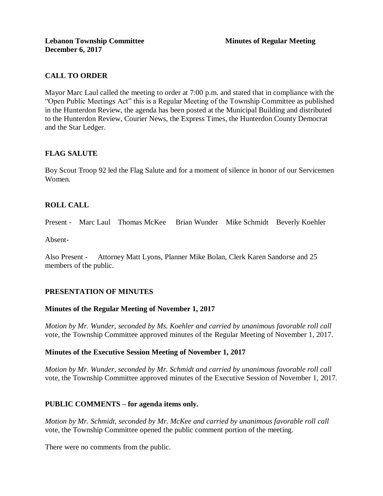# **CALL TO ORDER**

Mayor Marc Laul called the meeting to order at 7:00 p.m. and stated that in compliance with the "Open Public Meetings Act" this is a Regular Meeting of the Township Committee as published in the Hunterdon Review, the agenda has been posted at the Municipal Building and distributed to the Hunterdon Review, Courier News, the Express Times, the Hunterdon County Democrat and the Star Ledger.

# **FLAG SALUTE**

Boy Scout Troop 92 led the Flag Salute and for a moment of silence in honor of our Servicemen Women.

# **ROLL CALL**

Present - Marc Laul Thomas McKee Brian Wunder Mike Schmidt Beverly Koehler

Absent-

Also Present - Attorney Matt Lyons, Planner Mike Bolan, Clerk Karen Sandorse and 25 members of the public.

# **PRESENTATION OF MINUTES**

### **Minutes of the Regular Meeting of November 1, 2017**

*Motion by Mr. Wunder, seconded by Ms. Koehler and carried by unanimous favorable roll call*  vote, the Township Committee approved minutes of the Regular Meeting of November 1, 2017.

### **Minutes of the Executive Session Meeting of November 1, 2017**

*Motion by Mr. Wunder, seconded by Mr. Schmidt and carried by unanimous favorable roll call*  vote, the Township Committee approved minutes of the Executive Session of November 1, 2017.

### **PUBLIC COMMENTS – for agenda items only.**

*Motion by Mr. Schmidt, seconded by Mr. McKee and carried by unanimous favorable roll call*  vote, the Township Committee opened the public comment portion of the meeting.

There were no comments from the public.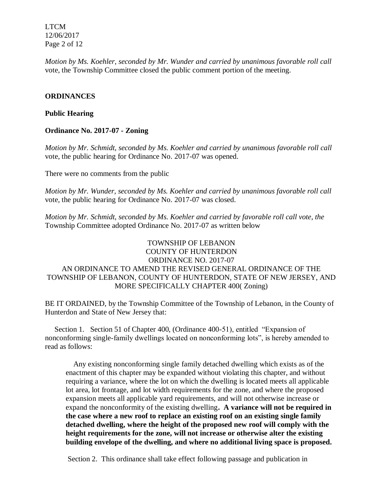LTCM 12/06/2017 Page 2 of 12

*Motion by Ms. Koehler, seconded by Mr. Wunder and carried by unanimous favorable roll call*  vote, the Township Committee closed the public comment portion of the meeting.

### **ORDINANCES**

### **Public Hearing**

### **Ordinance No. 2017-07 - Zoning**

*Motion by Mr. Schmidt, seconded by Ms. Koehler and carried by unanimous favorable roll call*  vote, the public hearing for Ordinance No. 2017-07 was opened.

There were no comments from the public

*Motion by Mr. Wunder, seconded by Ms. Koehler and carried by unanimous favorable roll call*  vote, the public hearing for Ordinance No. 2017-07 was closed.

*Motion by Mr. Schmidt, seconded by Ms. Koehler and carried by favorable roll call vote, the* Township Committee adopted Ordinance No. 2017-07 as written below

# TOWNSHIP OF LEBANON COUNTY OF HUNTERDON ORDINANCE NO. 2017-07 AN ORDINANCE TO AMEND THE REVISED GENERAL ORDINANCE OF THE TOWNSHIP OF LEBANON, COUNTY OF HUNTERDON, STATE OF NEW JERSEY, AND MORE SPECIFICALLY CHAPTER 400( Zoning)

BE IT ORDAINED, by the Township Committee of the Township of Lebanon, in the County of Hunterdon and State of New Jersey that:

 Section 1. Section 51 of Chapter 400, (Ordinance 400-51), entitled "Expansion of nonconforming single-family dwellings located on nonconforming lots", is hereby amended to read as follows:

 Any existing nonconforming single family detached dwelling which exists as of the enactment of this chapter may be expanded without violating this chapter, and without requiring a variance, where the lot on which the dwelling is located meets all applicable lot area, lot frontage, and lot width requirements for the zone, and where the proposed expansion meets all applicable yard requirements, and will not otherwise increase or expand the nonconformity of the existing dwelling**. A variance will not be required in the case where a new roof to replace an existing roof on an existing single family detached dwelling, where the height of the proposed new roof will comply with the height requirements for the zone, will not increase or otherwise alter the existing building envelope of the dwelling, and where no additional living space is proposed.** 

Section 2. This ordinance shall take effect following passage and publication in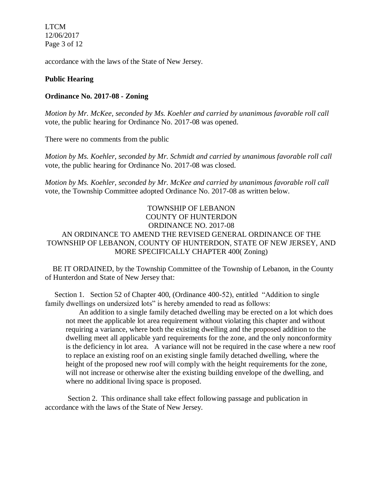LTCM 12/06/2017 Page 3 of 12

accordance with the laws of the State of New Jersey.

### **Public Hearing**

#### **Ordinance No. 2017-08 - Zoning**

*Motion by Mr. McKee, seconded by Ms. Koehler and carried by unanimous favorable roll call* vote, the public hearing for Ordinance No. 2017-08 was opened.

There were no comments from the public

*Motion by Ms. Koehler, seconded by Mr. Schmidt and carried by unanimous favorable roll call*  vote, the public hearing for Ordinance No. 2017-08 was closed.

*Motion by Ms. Koehler, seconded by Mr. McKee and carried by unanimous favorable roll call*  vote, the Township Committee adopted Ordinance No. 2017-08 as written below.

TOWNSHIP OF LEBANON COUNTY OF HUNTERDON ORDINANCE NO. 2017-08 AN ORDINANCE TO AMEND THE REVISED GENERAL ORDINANCE OF THE TOWNSHIP OF LEBANON, COUNTY OF HUNTERDON, STATE OF NEW JERSEY, AND MORE SPECIFICALLY CHAPTER 400( Zoning)

BE IT ORDAINED, by the Township Committee of the Township of Lebanon, in the County of Hunterdon and State of New Jersey that:

 Section 1. Section 52 of Chapter 400, (Ordinance 400-52), entitled "Addition to single family dwellings on undersized lots" is hereby amended to read as follows:

 An addition to a single family detached dwelling may be erected on a lot which does not meet the applicable lot area requirement without violating this chapter and without requiring a variance, where both the existing dwelling and the proposed addition to the dwelling meet all applicable yard requirements for the zone, and the only nonconformity is the deficiency in lot area. A variance will not be required in the case where a new roof to replace an existing roof on an existing single family detached dwelling, where the height of the proposed new roof will comply with the height requirements for the zone, will not increase or otherwise alter the existing building envelope of the dwelling, and where no additional living space is proposed.

 Section 2. This ordinance shall take effect following passage and publication in accordance with the laws of the State of New Jersey.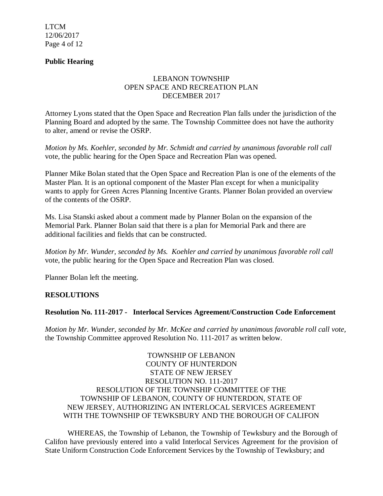LTCM 12/06/2017 Page 4 of 12

# **Public Hearing**

# LEBANON TOWNSHIP OPEN SPACE AND RECREATION PLAN DECEMBER 2017

Attorney Lyons stated that the Open Space and Recreation Plan falls under the jurisdiction of the Planning Board and adopted by the same. The Township Committee does not have the authority to alter, amend or revise the OSRP.

*Motion by Ms. Koehler, seconded by Mr. Schmidt and carried by unanimous favorable roll call*  vote, the public hearing for the Open Space and Recreation Plan was opened.

Planner Mike Bolan stated that the Open Space and Recreation Plan is one of the elements of the Master Plan. It is an optional component of the Master Plan except for when a municipality wants to apply for Green Acres Planning Incentive Grants. Planner Bolan provided an overview of the contents of the OSRP.

Ms. Lisa Stanski asked about a comment made by Planner Bolan on the expansion of the Memorial Park. Planner Bolan said that there is a plan for Memorial Park and there are additional facilities and fields that can be constructed.

*Motion by Mr. Wunder, seconded by Ms. Koehler and carried by unanimous favorable roll call*  vote, the public hearing for the Open Space and Recreation Plan was closed.

Planner Bolan left the meeting.

### **RESOLUTIONS**

### **Resolution No. 111-2017 - Interlocal Services Agreement/Construction Code Enforcement**

*Motion by Mr. Wunder, seconded by Mr. McKee and carried by unanimous favorable roll call vote,* the Township Committee approved Resolution No. 111-2017 as written below.

TOWNSHIP OF LEBANON COUNTY OF HUNTERDON STATE OF NEW JERSEY RESOLUTION NO. 111-2017 RESOLUTION OF THE TOWNSHIP COMMITTEE OF THE TOWNSHIP OF LEBANON, COUNTY OF HUNTERDON, STATE OF NEW JERSEY, AUTHORIZING AN INTERLOCAL SERVICES AGREEMENT WITH THE TOWNSHIP OF TEWKSBURY AND THE BOROUGH OF CALIFON

WHEREAS, the Township of Lebanon, the Township of Tewksbury and the Borough of Califon have previously entered into a valid Interlocal Services Agreement for the provision of State Uniform Construction Code Enforcement Services by the Township of Tewksbury; and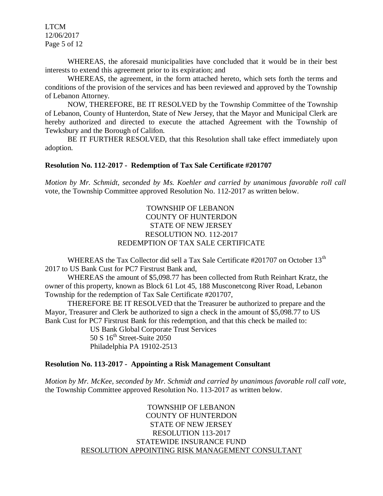LTCM 12/06/2017 Page 5 of 12

WHEREAS, the aforesaid municipalities have concluded that it would be in their best interests to extend this agreement prior to its expiration; and

WHEREAS, the agreement, in the form attached hereto, which sets forth the terms and conditions of the provision of the services and has been reviewed and approved by the Township of Lebanon Attorney.

NOW, THEREFORE, BE IT RESOLVED by the Township Committee of the Township of Lebanon, County of Hunterdon, State of New Jersey, that the Mayor and Municipal Clerk are hereby authorized and directed to execute the attached Agreement with the Township of Tewksbury and the Borough of Califon.

BE IT FURTHER RESOLVED, that this Resolution shall take effect immediately upon adoption.

#### **Resolution No. 112-2017 - Redemption of Tax Sale Certificate #201707**

*Motion by Mr. Schmidt, seconded by Ms. Koehler and carried by unanimous favorable roll call*  vote, the Township Committee approved Resolution No. 112-2017 as written below.

## TOWNSHIP OF LEBANON COUNTY OF HUNTERDON STATE OF NEW JERSEY RESOLUTION NO. 112-2017 REDEMPTION OF TAX SALE CERTIFICATE

WHEREAS the Tax Collector did sell a Tax Sale Certificate #201707 on October 13<sup>th</sup> 2017 to US Bank Cust for PC7 Firstrust Bank and,

WHEREAS the amount of \$5,098.77 has been collected from Ruth Reinhart Kratz, the owner of this property, known as Block 61 Lot 45, 188 Musconetcong River Road, Lebanon Township for the redemption of Tax Sale Certificate #201707,

THEREFORE BE IT RESOLVED that the Treasurer be authorized to prepare and the Mayor, Treasurer and Clerk be authorized to sign a check in the amount of \$5,098.77 to US Bank Cust for PC7 Firstrust Bank for this redemption, and that this check be mailed to:

US Bank Global Corporate Trust Services  $50 S 16<sup>th</sup> Street-Suite 2050$ Philadelphia PA 19102-2513

#### **Resolution No. 113-2017 - Appointing a Risk Management Consultant**

*Motion by Mr. McKee, seconded by Mr. Schmidt and carried by unanimous favorable roll call vote,* the Township Committee approved Resolution No. 113-2017 as written below.

> TOWNSHIP OF LEBANON COUNTY OF HUNTERDON STATE OF NEW JERSEY RESOLUTION 113-2017 STATEWIDE INSURANCE FUND RESOLUTION APPOINTING RISK MANAGEMENT CONSULTANT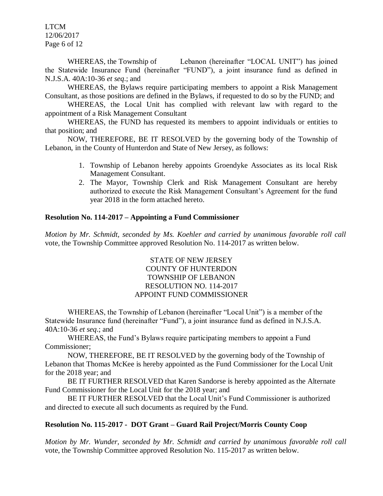LTCM 12/06/2017 Page 6 of 12

WHEREAS, the Township of Lebanon (hereinafter "LOCAL UNIT") has joined the Statewide Insurance Fund (hereinafter "FUND"), a joint insurance fund as defined in N.J.S.A. 40A:10-36 *et seq*.; and

WHEREAS, the Bylaws require participating members to appoint a Risk Management Consultant, as those positions are defined in the Bylaws, if requested to do so by the FUND; and

WHEREAS, the Local Unit has complied with relevant law with regard to the appointment of a Risk Management Consultant

WHEREAS, the FUND has requested its members to appoint individuals or entities to that position; and

NOW, THEREFORE, BE IT RESOLVED by the governing body of the Township of Lebanon, in the County of Hunterdon and State of New Jersey, as follows:

- 1. Township of Lebanon hereby appoints Groendyke Associates as its local Risk Management Consultant.
- 2. The Mayor, Township Clerk and Risk Management Consultant are hereby authorized to execute the Risk Management Consultant's Agreement for the fund year 2018 in the form attached hereto.

## **Resolution No. 114-2017 – Appointing a Fund Commissioner**

*Motion by Mr. Schmidt, seconded by Ms. Koehler and carried by unanimous favorable roll call*  vote, the Township Committee approved Resolution No. 114-2017 as written below.

## STATE OF NEW JERSEY COUNTY OF HUNTERDON TOWNSHIP OF LEBANON RESOLUTION NO. 114-2017 APPOINT FUND COMMISSIONER

WHEREAS, the Township of Lebanon (hereinafter "Local Unit") is a member of the Statewide Insurance fund (hereinafter "Fund"), a joint insurance fund as defined in N.J.S.A. 40A:10-36 *et seq*.; and

WHEREAS, the Fund's Bylaws require participating members to appoint a Fund Commissioner;

NOW, THEREFORE, BE IT RESOLVED by the governing body of the Township of Lebanon that Thomas McKee is hereby appointed as the Fund Commissioner for the Local Unit for the 2018 year; and

BE IT FURTHER RESOLVED that Karen Sandorse is hereby appointed as the Alternate Fund Commissioner for the Local Unit for the 2018 year; and

BE IT FURTHER RESOLVED that the Local Unit's Fund Commissioner is authorized and directed to execute all such documents as required by the Fund.

# **Resolution No. 115-2017 - DOT Grant – Guard Rail Project/Morris County Coop**

*Motion by Mr. Wunder, seconded by Mr. Schmidt and carried by unanimous favorable roll call*  vote, the Township Committee approved Resolution No. 115-2017 as written below.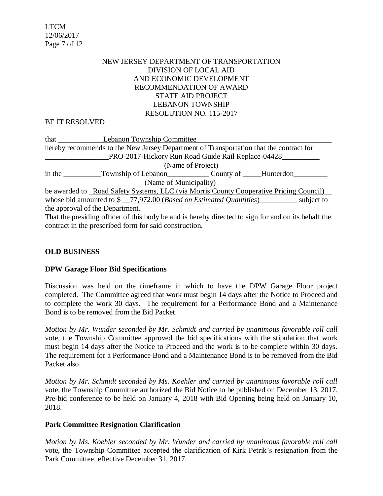LTCM 12/06/2017 Page 7 of 12

## NEW JERSEY DEPARTMENT OF TRANSPORTATION DIVISION OF LOCAL AID AND ECONOMIC DEVELOPMENT RECOMMENDATION OF AWARD STATE AID PROJECT LEBANON TOWNSHIP RESOLUTION NO. 115-2017

#### BE IT RESOLVED

| that $\frac{1}{\sqrt{1-\frac{1}{2}}\cdot\frac{1}{\sqrt{1-\frac{1}{2}}}}$                              | <b>Lebanon Township Committee</b>       |  |  |
|-------------------------------------------------------------------------------------------------------|-----------------------------------------|--|--|
| hereby recommends to the New Jersey Department of Transportation that the contract for                |                                         |  |  |
| PRO-2017-Hickory Run Road Guide Rail Replace-04428                                                    |                                         |  |  |
| (Name of Project)                                                                                     |                                         |  |  |
| in the                                                                                                | Township of Lebanon County of Hunterdon |  |  |
| (Name of Municipality)                                                                                |                                         |  |  |
| be awarded to _Road Safety Systems, LLC (via Morris County Cooperative Pricing Council)               |                                         |  |  |
| whose bid amounted to $\frac{1}{2}$ -77,972.00 ( <i>Based on Estimated Quantities</i> )<br>subject to |                                         |  |  |
|                                                                                                       | the approval of the Department.         |  |  |
|                                                                                                       |                                         |  |  |

That the presiding officer of this body be and is hereby directed to sign for and on its behalf the contract in the prescribed form for said construction.

### **OLD BUSINESS**

#### **DPW Garage Floor Bid Specifications**

Discussion was held on the timeframe in which to have the DPW Garage Floor project completed. The Committee agreed that work must begin 14 days after the Notice to Proceed and to complete the work 30 days. The requirement for a Performance Bond and a Maintenance Bond is to be removed from the Bid Packet.

*Motion by Mr. Wunder seconded by Mr. Schmidt and carried by unanimous favorable roll call*  vote, the Township Committee approved the bid specifications with the stipulation that work must begin 14 days after the Notice to Proceed and the work is to be complete within 30 days. The requirement for a Performance Bond and a Maintenance Bond is to be removed from the Bid Packet also.

*Motion by Mr. Schmidt seconded by Ms. Koehler and carried by unanimous favorable roll call*  vote*,* the Township Committee authorized the Bid Notice to be published on December 13, 2017, Pre-bid conference to be held on January 4, 2018 with Bid Opening being held on January 10, 2018.

#### **Park Committee Resignation Clarification**

*Motion by Ms. Koehler seconded by Mr. Wunder and carried by unanimous favorable roll call*  vote, the Township Committee accepted the clarification of Kirk Petrik's resignation from the Park Committee, effective December 31, 2017.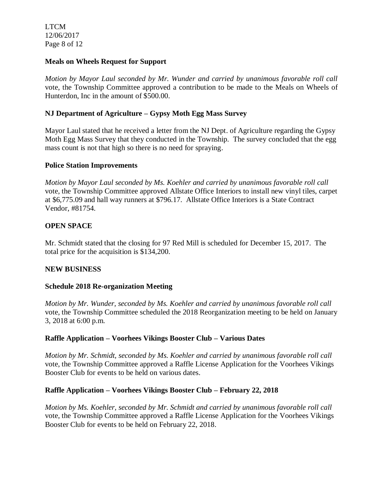LTCM 12/06/2017 Page 8 of 12

## **Meals on Wheels Request for Support**

*Motion by Mayor Laul seconded by Mr. Wunder and carried by unanimous favorable roll call*  vote, the Township Committee approved a contribution to be made to the Meals on Wheels of Hunterdon, Inc in the amount of \$500.00.

# **NJ Department of Agriculture – Gypsy Moth Egg Mass Survey**

Mayor Laul stated that he received a letter from the NJ Dept. of Agriculture regarding the Gypsy Moth Egg Mass Survey that they conducted in the Township. The survey concluded that the egg mass count is not that high so there is no need for spraying.

### **Police Station Improvements**

*Motion by Mayor Laul seconded by Ms. Koehler and carried by unanimous favorable roll call*  vote, the Township Committee approved Allstate Office Interiors to install new vinyl tiles, carpet at \$6,775.09 and hall way runners at \$796.17. Allstate Office Interiors is a State Contract Vendor, #81754.

## **OPEN SPACE**

Mr. Schmidt stated that the closing for 97 Red Mill is scheduled for December 15, 2017. The total price for the acquisition is \$134,200.

### **NEW BUSINESS**

### **Schedule 2018 Re-organization Meeting**

*Motion by Mr. Wunder, seconded by Ms. Koehler and carried by unanimous favorable roll call*  vote, the Township Committee scheduled the 2018 Reorganization meeting to be held on January 3, 2018 at 6:00 p.m.

### **Raffle Application – Voorhees Vikings Booster Club – Various Dates**

*Motion by Mr. Schmidt, seconded by Ms. Koehler and carried by unanimous favorable roll call*  vote, the Township Committee approved a Raffle License Application for the Voorhees Vikings Booster Club for events to be held on various dates.

### **Raffle Application – Voorhees Vikings Booster Club – February 22, 2018**

*Motion by Ms. Koehler, seconded by Mr. Schmidt and carried by unanimous favorable roll call*  vote, the Township Committee approved a Raffle License Application for the Voorhees Vikings Booster Club for events to be held on February 22, 2018.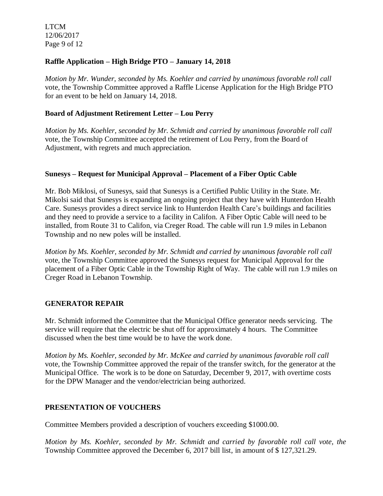LTCM 12/06/2017 Page 9 of 12

# **Raffle Application – High Bridge PTO – January 14, 2018**

*Motion by Mr. Wunder, seconded by Ms. Koehler and carried by unanimous favorable roll call*  vote*,* the Township Committee approved a Raffle License Application for the High Bridge PTO for an event to be held on January 14, 2018.

## **Board of Adjustment Retirement Letter – Lou Perry**

*Motion by Ms. Koehler, seconded by Mr. Schmidt and carried by unanimous favorable roll call*  vote*,* the Township Committee accepted the retirement of Lou Perry, from the Board of Adjustment, with regrets and much appreciation.

### **Sunesys – Request for Municipal Approval – Placement of a Fiber Optic Cable**

Mr. Bob Miklosi, of Sunesys, said that Sunesys is a Certified Public Utility in the State. Mr. Mikolsi said that Sunesys is expanding an ongoing project that they have with Hunterdon Health Care. Sunesys provides a direct service link to Hunterdon Health Care's buildings and facilities and they need to provide a service to a facility in Califon. A Fiber Optic Cable will need to be installed, from Route 31 to Califon, via Creger Road. The cable will run 1.9 miles in Lebanon Township and no new poles will be installed.

*Motion by Ms. Koehler, seconded by Mr. Schmidt and carried by unanimous favorable roll call*  vote, the Township Committee approved the Sunesys request for Municipal Approval for the placement of a Fiber Optic Cable in the Township Right of Way. The cable will run 1.9 miles on Creger Road in Lebanon Township.

### **GENERATOR REPAIR**

Mr. Schmidt informed the Committee that the Municipal Office generator needs servicing. The service will require that the electric be shut off for approximately 4 hours. The Committee discussed when the best time would be to have the work done.

*Motion by Ms. Koehler, seconded by Mr. McKee and carried by unanimous favorable roll call*  vote, the Township Committee approved the repair of the transfer switch, for the generator at the Municipal Office. The work is to be done on Saturday, December 9, 2017, with overtime costs for the DPW Manager and the vendor/electrician being authorized.

### **PRESENTATION OF VOUCHERS**

Committee Members provided a description of vouchers exceeding \$1000.00.

*Motion by Ms. Koehler, seconded by Mr. Schmidt and carried by favorable roll call vote, the* Township Committee approved the December 6, 2017 bill list, in amount of \$ 127,321.29.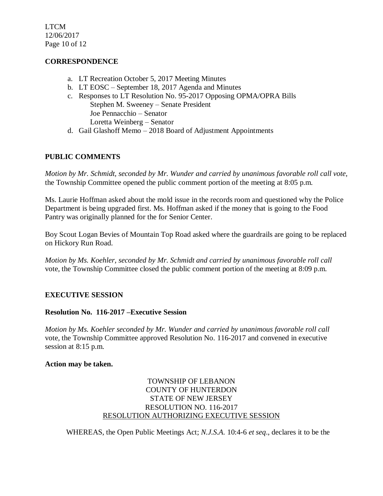LTCM 12/06/2017 Page 10 of 12

## **CORRESPONDENCE**

- a. LT Recreation October 5, 2017 Meeting Minutes
- b. LT EOSC September 18, 2017 Agenda and Minutes
- c. Responses to LT Resolution No. 95-2017 Opposing OPMA/OPRA Bills Stephen M. Sweeney – Senate President Joe Pennacchio – Senator Loretta Weinberg – Senator
- d. Gail Glashoff Memo 2018 Board of Adjustment Appointments

## **PUBLIC COMMENTS**

*Motion by Mr. Schmidt, seconded by Mr. Wunder and carried by unanimous favorable roll call vote,* the Township Committee opened the public comment portion of the meeting at 8:05 p.m.

Ms. Laurie Hoffman asked about the mold issue in the records room and questioned why the Police Department is being upgraded first. Ms. Hoffman asked if the money that is going to the Food Pantry was originally planned for the for Senior Center.

Boy Scout Logan Bevies of Mountain Top Road asked where the guardrails are going to be replaced on Hickory Run Road.

*Motion by Ms. Koehler, seconded by Mr. Schmidt and carried by unanimous favorable roll call* vote, the Township Committee closed the public comment portion of the meeting at 8:09 p.m.

### **EXECUTIVE SESSION**

### **Resolution No. 116-2017 –Executive Session**

*Motion by Ms. Koehler seconded by Mr. Wunder and carried by unanimous favorable roll call*  vote*,* the Township Committee approved Resolution No. 116-2017 and convened in executive session at 8:15 p.m.

#### **Action may be taken.**

## TOWNSHIP OF LEBANON COUNTY OF HUNTERDON STATE OF NEW JERSEY RESOLUTION NO. 116-2017 RESOLUTION AUTHORIZING EXECUTIVE SESSION

WHEREAS, the Open Public Meetings Act; *N.J.S.A.* 10:4-6 *et seq*., declares it to be the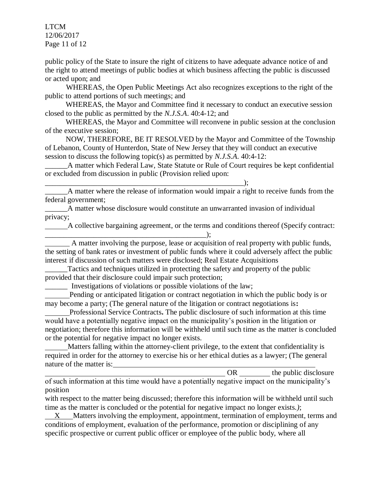LTCM 12/06/2017 Page 11 of 12

public policy of the State to insure the right of citizens to have adequate advance notice of and the right to attend meetings of public bodies at which business affecting the public is discussed or acted upon; and

WHEREAS, the Open Public Meetings Act also recognizes exceptions to the right of the public to attend portions of such meetings; and

 WHEREAS, the Mayor and Committee find it necessary to conduct an executive session closed to the public as permitted by the *N.J.S.A*. 40:4-12; and

 WHEREAS, the Mayor and Committee will reconvene in public session at the conclusion of the executive session;

 NOW, THEREFORE, BE IT RESOLVED by the Mayor and Committee of the Township of Lebanon, County of Hunterdon, State of New Jersey that they will conduct an executive session to discuss the following topic(s) as permitted by *N.J.S.A*. 40:4-12:

A matter which Federal Law, State Statute or Rule of Court requires be kept confidential or excluded from discussion in public (Provision relied upon:

\_\_\_\_\_\_A matter where the release of information would impair a right to receive funds from the federal government;

\_\_\_\_\_\_A matter whose disclosure would constitute an unwarranted invasion of individual privacy;

A collective bargaining agreement, or the terms and conditions thereof (Specify contract:

\_\_\_\_\_\_\_\_\_\_\_\_\_\_\_\_\_\_\_\_\_\_\_\_\_\_\_\_\_\_\_\_\_\_\_\_\_\_\_\_\_\_\_); A matter involving the purpose, lease or acquisition of real property with public funds, the setting of bank rates or investment of public funds where it could adversely affect the public interest if discussion of such matters were disclosed; Real Estate Acquisitions

Tactics and techniques utilized in protecting the safety and property of the public provided that their disclosure could impair such protection;

\_\_\_\_\_\_ Investigations of violations or possible violations of the law;

\_\_\_\_\_\_\_\_\_\_\_\_\_\_\_\_\_\_\_\_\_\_\_\_\_\_\_\_\_\_\_\_\_\_\_\_\_\_\_\_\_\_\_\_\_\_\_\_\_\_\_\_\_);

 Pending or anticipated litigation or contract negotiation in which the public body is or may become a party; (The general nature of the litigation or contract negotiations is**:** 

 Professional Service Contracts**.** The public disclosure of such information at this time would have a potentially negative impact on the municipality's position in the litigation or negotiation; therefore this information will be withheld until such time as the matter is concluded or the potential for negative impact no longer exists.

 Matters falling within the attorney-client privilege, to the extent that confidentiality is required in order for the attorney to exercise his or her ethical duties as a lawyer; (The general nature of the matter is:

OR the public disclosure of such information at this time would have a potentially negative impact on the municipality's position

with respect to the matter being discussed; therefore this information will be withheld until such time as the matter is concluded or the potential for negative impact no longer exists.*)*;

X Matters involving the employment, appointment, termination of employment, terms and conditions of employment, evaluation of the performance, promotion or disciplining of any specific prospective or current public officer or employee of the public body, where all